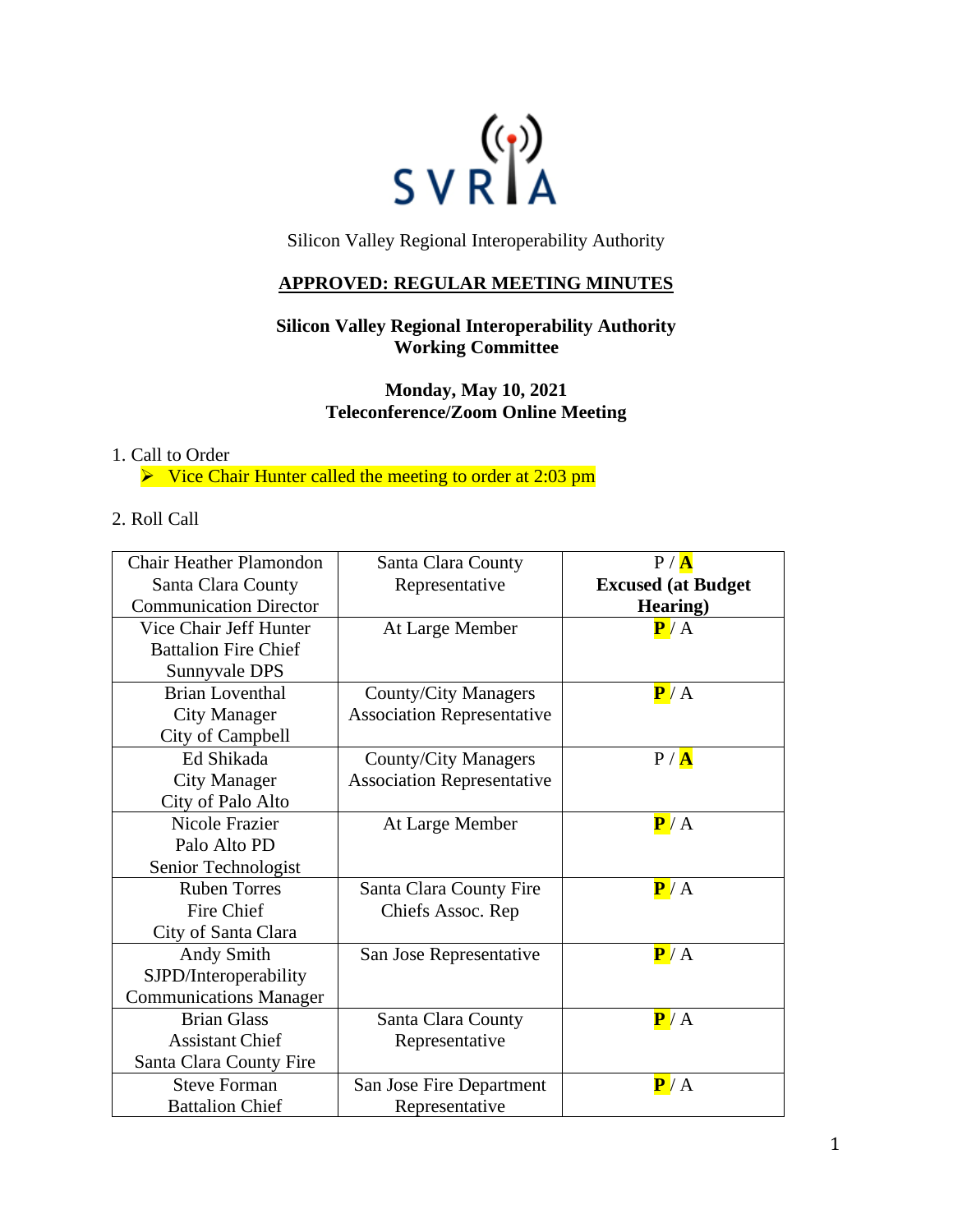

Silicon Valley Regional Interoperability Authority

## **APPROVED: REGULAR MEETING MINUTES**

# **Silicon Valley Regional Interoperability Authority Working Committee**

**Monday, May 10, 2021 Teleconference/Zoom Online Meeting**

#### 1. Call to Order

 $\triangleright$  Vice Chair Hunter called the meeting to order at 2:03 pm

## 2. Roll Call

| <b>Chair Heather Plamondon</b> | Santa Clara County                | P / A                      |
|--------------------------------|-----------------------------------|----------------------------|
| Santa Clara County             | Representative                    | <b>Excused (at Budget)</b> |
| <b>Communication Director</b>  |                                   | Hearing)                   |
| Vice Chair Jeff Hunter         | At Large Member                   | P/A                        |
| <b>Battalion Fire Chief</b>    |                                   |                            |
| Sunnyvale DPS                  |                                   |                            |
| <b>Brian Loventhal</b>         | <b>County/City Managers</b>       | P/A                        |
| <b>City Manager</b>            | <b>Association Representative</b> |                            |
| City of Campbell               |                                   |                            |
| Ed Shikada                     | <b>County/City Managers</b>       | P / A                      |
| <b>City Manager</b>            | <b>Association Representative</b> |                            |
| City of Palo Alto              |                                   |                            |
| Nicole Frazier                 | At Large Member                   | P/A                        |
| Palo Alto PD                   |                                   |                            |
| Senior Technologist            |                                   |                            |
| <b>Ruben Torres</b>            | Santa Clara County Fire           | P/A                        |
| Fire Chief                     | Chiefs Assoc. Rep                 |                            |
| City of Santa Clara            |                                   |                            |
| Andy Smith                     | San Jose Representative           | P/A                        |
| SJPD/Interoperability          |                                   |                            |
| <b>Communications Manager</b>  |                                   |                            |
| <b>Brian Glass</b>             | Santa Clara County                | P/A                        |
| <b>Assistant Chief</b>         | Representative                    |                            |
| Santa Clara County Fire        |                                   |                            |
| <b>Steve Forman</b>            | San Jose Fire Department          | P/A                        |
| <b>Battalion Chief</b>         | Representative                    |                            |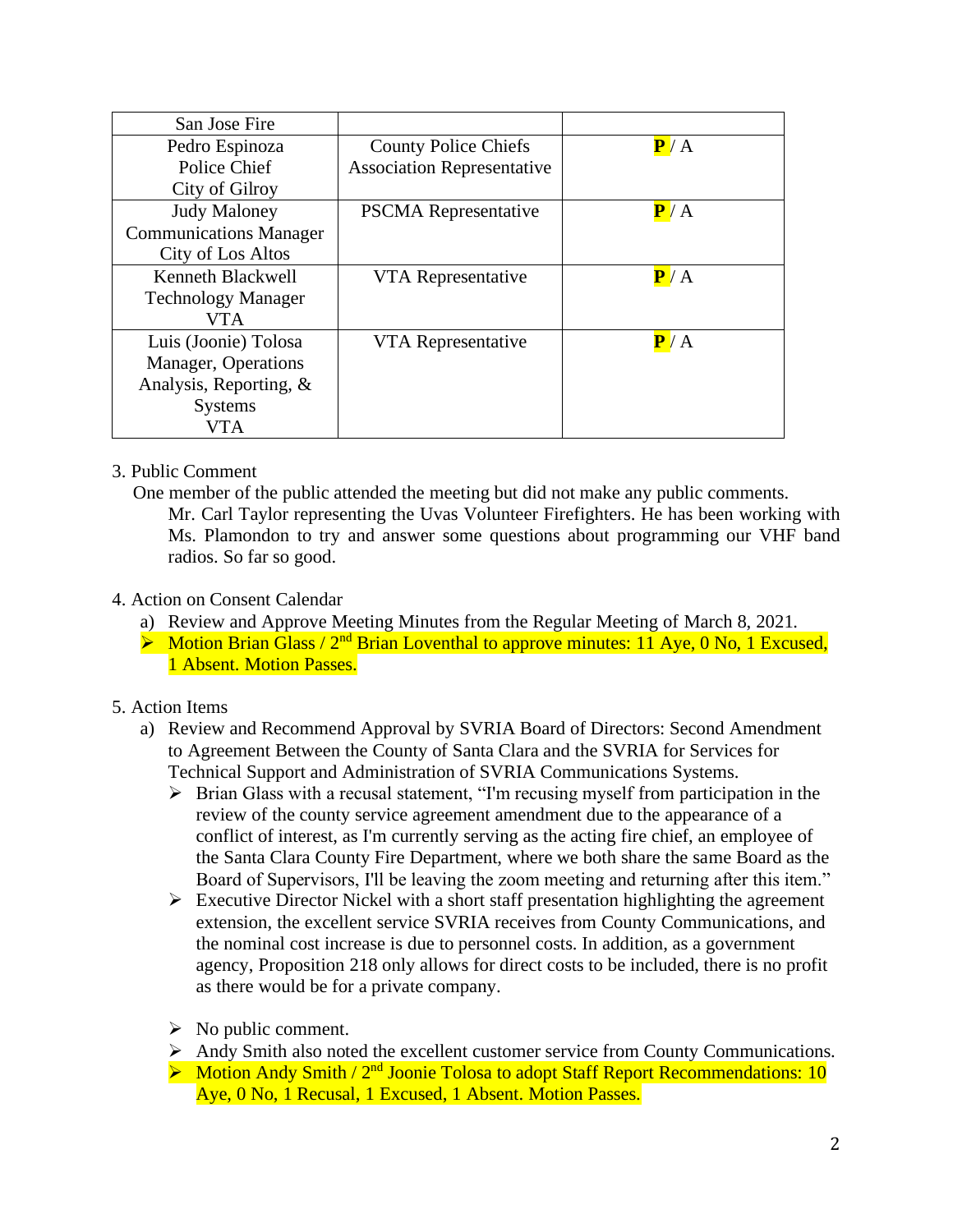| San Jose Fire                 |                                   |     |
|-------------------------------|-----------------------------------|-----|
| Pedro Espinoza                | <b>County Police Chiefs</b>       | P/A |
| Police Chief                  | <b>Association Representative</b> |     |
| City of Gilroy                |                                   |     |
| <b>Judy Maloney</b>           | <b>PSCMA</b> Representative       | P/A |
| <b>Communications Manager</b> |                                   |     |
| City of Los Altos             |                                   |     |
| Kenneth Blackwell             | VTA Representative                | P/A |
| <b>Technology Manager</b>     |                                   |     |
| VTA                           |                                   |     |
| Luis (Joonie) Tolosa          | VTA Representative                | P/A |
| Manager, Operations           |                                   |     |
| Analysis, Reporting, $\&$     |                                   |     |
| <b>Systems</b>                |                                   |     |
| <b>VTA</b>                    |                                   |     |

## 3. Public Comment

One member of the public attended the meeting but did not make any public comments.

Mr. Carl Taylor representing the Uvas Volunteer Firefighters. He has been working with Ms. Plamondon to try and answer some questions about programming our VHF band radios. So far so good.

## 4. Action on Consent Calendar

- a) Review and Approve Meeting Minutes from the Regular Meeting of March 8, 2021.
- $\triangleright$  Motion Brian Glass / 2<sup>nd</sup> Brian Loventhal to approve minutes: 11 Aye, 0 No, 1 Excused, 1 Absent. Motion Passes.

# 5. Action Items

- a) Review and Recommend Approval by SVRIA Board of Directors: Second Amendment to Agreement Between the County of Santa Clara and the SVRIA for Services for Technical Support and Administration of SVRIA Communications Systems.
	- ➢ Brian Glass with a recusal statement, "I'm recusing myself from participation in the review of the county service agreement amendment due to the appearance of a conflict of interest, as I'm currently serving as the acting fire chief, an employee of the Santa Clara County Fire Department, where we both share the same Board as the Board of Supervisors, I'll be leaving the zoom meeting and returning after this item."
	- $\triangleright$  Executive Director Nickel with a short staff presentation highlighting the agreement extension, the excellent service SVRIA receives from County Communications, and the nominal cost increase is due to personnel costs. In addition, as a government agency, Proposition 218 only allows for direct costs to be included, there is no profit as there would be for a private company.
	- $\triangleright$  No public comment.
	- ➢ Andy Smith also noted the excellent customer service from County Communications.
	- $\triangleright$  Motion Andy Smith / 2<sup>nd</sup> Joonie Tolosa to adopt Staff Report Recommendations: 10 Aye, 0 No, 1 Recusal, 1 Excused, 1 Absent. Motion Passes.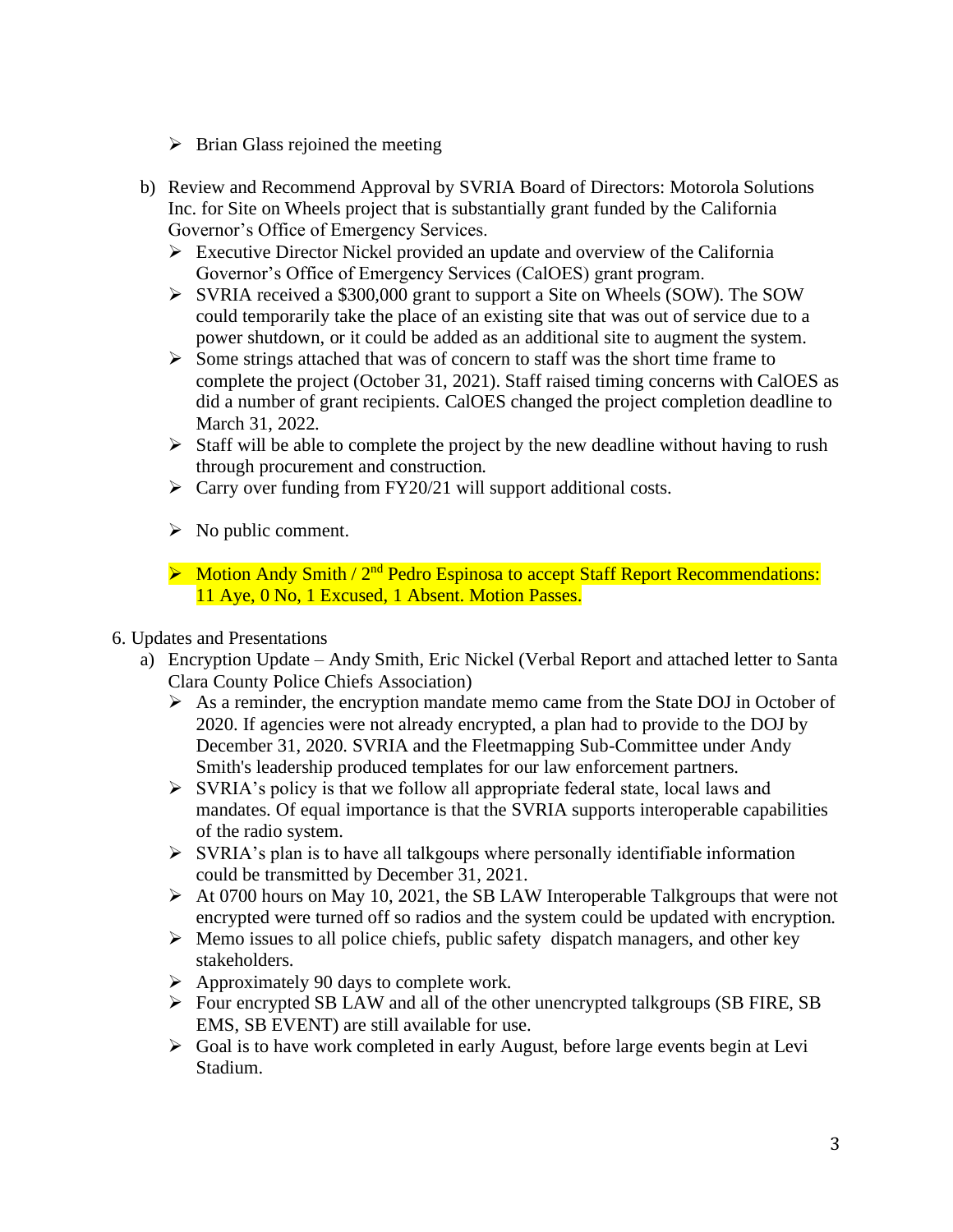- $\triangleright$  Brian Glass rejoined the meeting
- b) Review and Recommend Approval by SVRIA Board of Directors: Motorola Solutions Inc. for Site on Wheels project that is substantially grant funded by the California Governor's Office of Emergency Services.
	- ➢ Executive Director Nickel provided an update and overview of the California Governor's Office of Emergency Services (CalOES) grant program.
	- ➢ SVRIA received a \$300,000 grant to support a Site on Wheels (SOW). The SOW could temporarily take the place of an existing site that was out of service due to a power shutdown, or it could be added as an additional site to augment the system.
	- ➢ Some strings attached that was of concern to staff was the short time frame to complete the project (October 31, 2021). Staff raised timing concerns with CalOES as did a number of grant recipients. CalOES changed the project completion deadline to March 31, 2022.
	- $\triangleright$  Staff will be able to complete the project by the new deadline without having to rush through procurement and construction.
	- ➢ Carry over funding from FY20/21 will support additional costs.
	- $\triangleright$  No public comment.
	- $\triangleright$  Motion Andy Smith / 2<sup>nd</sup> Pedro Espinosa to accept Staff Report Recommendations: 11 Aye, 0 No, 1 Excused, 1 Absent. Motion Passes.
- 6. Updates and Presentations
	- a) Encryption Update Andy Smith, Eric Nickel (Verbal Report and attached letter to Santa Clara County Police Chiefs Association)
		- ➢ As a reminder, the encryption mandate memo came from the State DOJ in October of 2020. If agencies were not already encrypted, a plan had to provide to the DOJ by December 31, 2020. SVRIA and the Fleetmapping Sub-Committee under Andy Smith's leadership produced templates for our law enforcement partners.
		- ➢ SVRIA's policy is that we follow all appropriate federal state, local laws and mandates. Of equal importance is that the SVRIA supports interoperable capabilities of the radio system.
		- $\triangleright$  SVRIA's plan is to have all talkgoups where personally identifiable information could be transmitted by December 31, 2021.
		- ➢ At 0700 hours on May 10, 2021, the SB LAW Interoperable Talkgroups that were not encrypted were turned off so radios and the system could be updated with encryption.
		- ➢ Memo issues to all police chiefs, public safety dispatch managers, and other key stakeholders.
		- $\triangleright$  Approximately 90 days to complete work.
		- ➢ Four encrypted SB LAW and all of the other unencrypted talkgroups (SB FIRE, SB EMS, SB EVENT) are still available for use.
		- ➢ Goal is to have work completed in early August, before large events begin at Levi Stadium.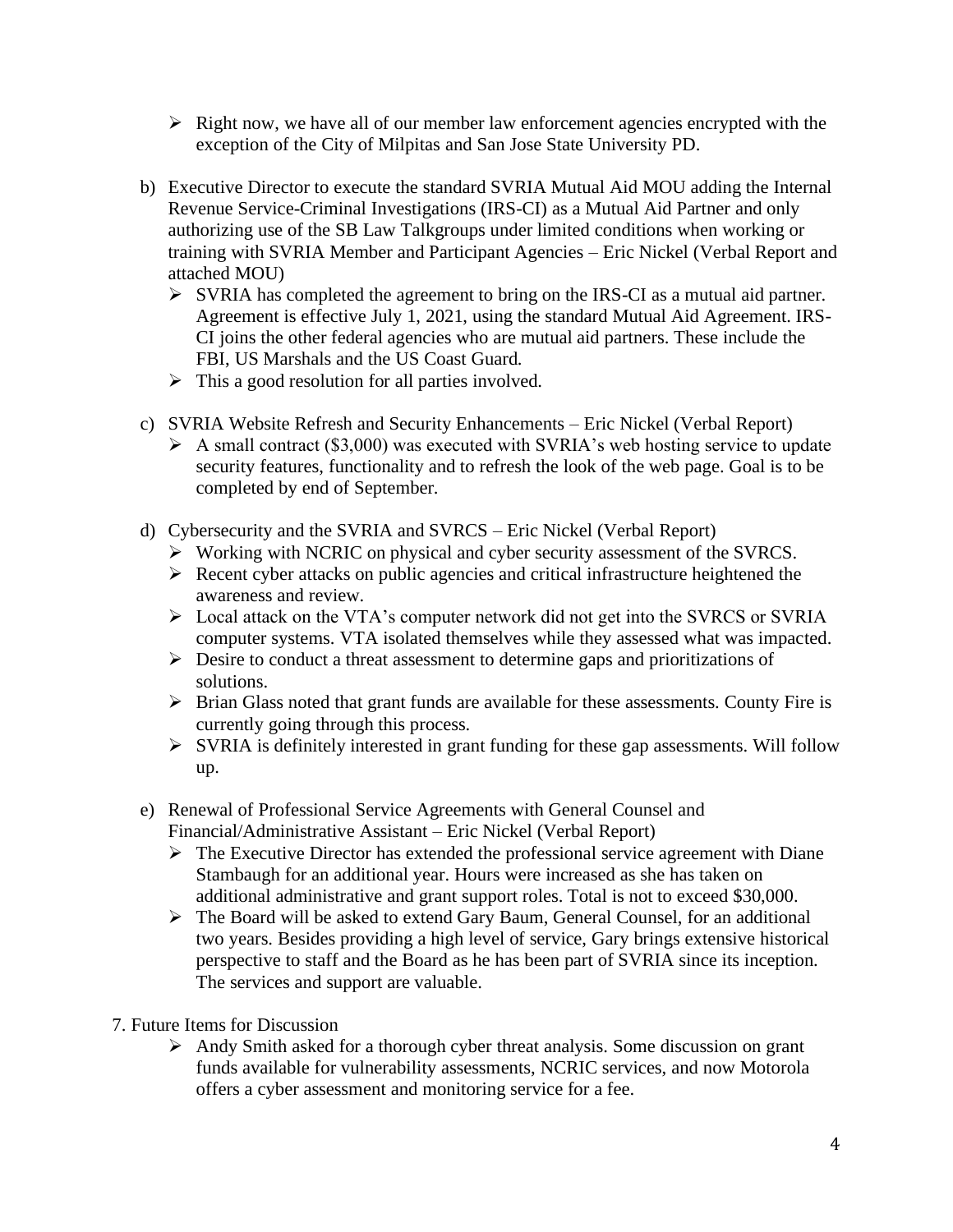- $\triangleright$  Right now, we have all of our member law enforcement agencies encrypted with the exception of the City of Milpitas and San Jose State University PD.
- b) Executive Director to execute the standard SVRIA Mutual Aid MOU adding the Internal Revenue Service-Criminal Investigations (IRS-CI) as a Mutual Aid Partner and only authorizing use of the SB Law Talkgroups under limited conditions when working or training with SVRIA Member and Participant Agencies – Eric Nickel (Verbal Report and attached MOU)
	- $\triangleright$  SVRIA has completed the agreement to bring on the IRS-CI as a mutual aid partner. Agreement is effective July 1, 2021, using the standard Mutual Aid Agreement. IRS-CI joins the other federal agencies who are mutual aid partners. These include the FBI, US Marshals and the US Coast Guard.
	- $\triangleright$  This a good resolution for all parties involved.
- c) SVRIA Website Refresh and Security Enhancements Eric Nickel (Verbal Report)
	- $\triangleright$  A small contract (\$3,000) was executed with SVRIA's web hosting service to update security features, functionality and to refresh the look of the web page. Goal is to be completed by end of September.
- d) Cybersecurity and the SVRIA and SVRCS Eric Nickel (Verbal Report)
	- ➢ Working with NCRIC on physical and cyber security assessment of the SVRCS.
	- ➢ Recent cyber attacks on public agencies and critical infrastructure heightened the awareness and review.
	- ➢ Local attack on the VTA's computer network did not get into the SVRCS or SVRIA computer systems. VTA isolated themselves while they assessed what was impacted.
	- ➢ Desire to conduct a threat assessment to determine gaps and prioritizations of solutions.
	- ➢ Brian Glass noted that grant funds are available for these assessments. County Fire is currently going through this process.
	- ➢ SVRIA is definitely interested in grant funding for these gap assessments. Will follow up.
- e) Renewal of Professional Service Agreements with General Counsel and Financial/Administrative Assistant – Eric Nickel (Verbal Report)
	- ➢ The Executive Director has extended the professional service agreement with Diane Stambaugh for an additional year. Hours were increased as she has taken on additional administrative and grant support roles. Total is not to exceed \$30,000.
	- ➢ The Board will be asked to extend Gary Baum, General Counsel, for an additional two years. Besides providing a high level of service, Gary brings extensive historical perspective to staff and the Board as he has been part of SVRIA since its inception. The services and support are valuable.
- 7. Future Items for Discussion
	- ➢ Andy Smith asked for a thorough cyber threat analysis. Some discussion on grant funds available for vulnerability assessments, NCRIC services, and now Motorola offers a cyber assessment and monitoring service for a fee.